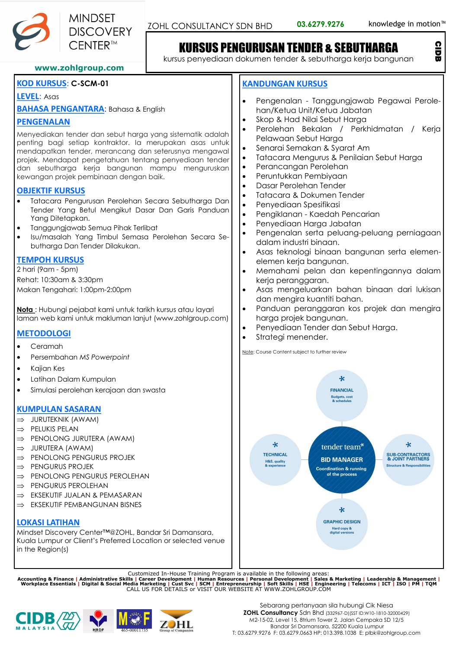

CIDB

# KURSUS PENGURUSAN TENDER & SEBUTHARGA

kursus penyediaan dokumen tender & sebutharga kerja bangunan

### **www.zohlgroup.com**

## **KOD KURSUS**: **C-SCM-01**

### **LEVEL**: Asas

**BAHASA PENGANTARA**: Bahasa & English

## **PENGENALAN**

Menyediakan tender dan sebut harga yang sistematik adalah penting bagi setiap kontraktor. Ia merupakan asas untuk mendapatkan tender, merancang dan seterusnya mengawal projek. Mendapat pengetahuan tentang penyediaan tender dan sebutharga kerja bangunan mampu menguruskan kewangan projek pembinaan dengan baik.

### **OBJEKTIF KURSUS**

- Tatacara Pengurusan Perolehan Secara Sebutharga Dan Tender Yang Betul Mengikut Dasar Dan Garis Panduan Yang Ditetapkan.
- Tanggungjawab Semua Pihak Terlibat
- Isu/masalah Yang Timbul Semasa Perolehan Secara Sebutharga Dan Tender Dilakukan.

# **TEMPOH KURSUS**

2 hari (9am - 5pm) Rehat: 10:30am & 3:30pm Makan Tengahari: 1:00pm-2:00pm

**Nota** : Hubungi pejabat kami untuk tarikh kursus atau layari laman web kami untuk makluman lanjut (www.zohlgroup.com)

## **METODOLOGI**

- Ceramah
- Persembahan *MS Powerpoint*
- Kajian Kes
- Latihan Dalam Kumpulan
- Simulasi perolehan kerajaan dan swasta

# **KUMPULAN SASARAN**

- $\Rightarrow$  JURUTEKNIK (AWAM)
- $\Rightarrow$  PELUKIS PELAN
- $\Rightarrow$  PENOLONG JURUTERA (AWAM)
- $\Rightarrow$  JURUTERA (AWAM)
- $\Rightarrow$  PENOLONG PENGURUS PROJEK
- $\Rightarrow$  PENGURUS PROJEK
- $\Rightarrow$  PENOLONG PENGURUS PEROLEHAN
- $\Rightarrow$  PENGURUS PEROLEHAN
- $\Rightarrow$  FKSEKUTIF JUALAN & PEMASARAN
- $\Rightarrow$  EKSEKUTIF PEMBANGUNAN BISNES

# **LOKASI LATIHAN**

Mindset Discovery Center™@ZOHL, Bandar Sri Damansara, Kuala Lumpur or Client's Preferred Location or selected venue in the Region(s)

Customized In-House Training Program is available in the following areas:<br>Accounting & Finance | Administrative Skills | Career Development | Human Resources | Personal Development | Sales & Marketing | Leadership & Manage







# Sebarang pertanyaan sila hubungi Cik Niesa **ZOHL Consultancy** Sdn Bhd (332967-D)(SST ID:W10-1810-32000429)

M2-15-02, Level 15, 8trium Tower 2, Jalan Cempaka SD 12/5 Bandar Sri Damansara, 52200 Kuala Lumpur T: 03.6279.9276 F: 03.6279.0663 HP: 013.398.1038 E: plbk@zohlgroup.com

# **KANDUNGAN KURSUS**

- Pengenalan Tanggungjawab Pegawai Perolehan/Ketua Unit/Ketua Jabatan
- Skop & Had Nilai Sebut Harga
- Perolehan Bekalan / Perkhidmatan / Kerja Pelawaan Sebut Harga
- Senarai Semakan & Syarat Am
- Tatacara Mengurus & Penilaian Sebut Harga
- Perancangan Perolehan
- Peruntukkan Pembiyaan
- Dasar Perolehan Tender
- Tatacara & Dokumen Tender
- Penyediaan Spesifikasi
- Pengiklanan Kaedah Pencarian
- Penyediaan Harga Jabatan
- Pengenalan serta peluang-peluang perniagaan dalam industri binaan.
- Asas teknologi binaan bangunan serta elemenelemen kerja bangunan.
- Memahami pelan dan kepentingannya dalam kerja peranggaran.
- Asas mengeluarkan bahan binaan dari lukisan dan mengira kuantiti bahan.
- Panduan peranggaran kos projek dan mengira harga projek bangunan.
- Penyediaan Tender dan Sebut Harga.
- Strategi menender.

Note: Course Content subject to further review